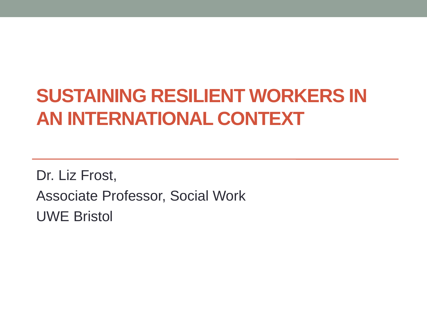#### **SUSTAINING RESILIENT WORKERS IN AN INTERNATIONAL CONTEXT**

Dr. Liz Frost, Associate Professor, Social Work UWE Bristol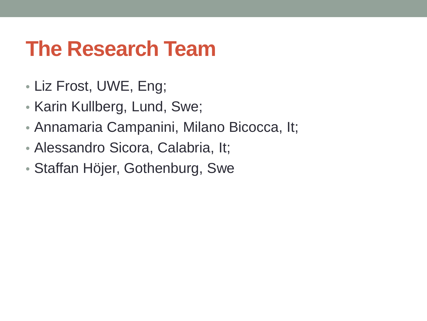### **The Research Team**

- Liz Frost, UWE, Eng;
- Karin Kullberg, Lund, Swe;
- Annamaria Campanini, Milano Bicocca, It;
- Alessandro Sicora, Calabria, It;
- Staffan Höjer, Gothenburg, Swe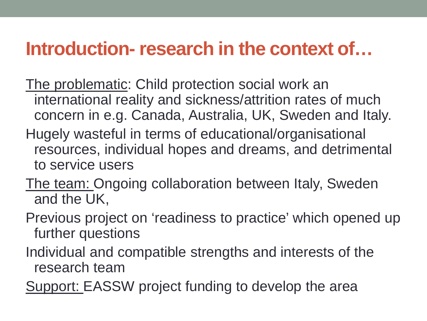#### **Introduction- research in the context of…**

- The problematic: Child protection social work an international reality and sickness/attrition rates of much concern in e.g. Canada, Australia, UK, Sweden and Italy.
- Hugely wasteful in terms of educational/organisational resources, individual hopes and dreams, and detrimental to service users
- The team: Ongoing collaboration between Italy, Sweden and the UK,
- Previous project on 'readiness to practice' which opened up further questions
- Individual and compatible strengths and interests of the research team
- Support: EASSW project funding to develop the area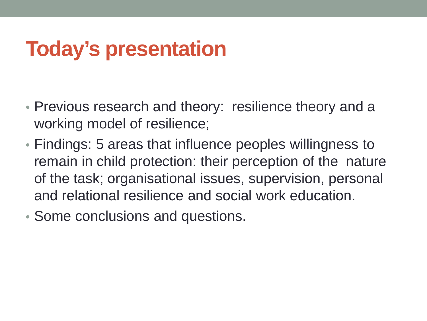## **Today's presentation**

- Previous research and theory: resilience theory and a working model of resilience;
- Findings: 5 areas that influence peoples willingness to remain in child protection: their perception of the nature of the task; organisational issues, supervision, personal and relational resilience and social work education.
- Some conclusions and questions.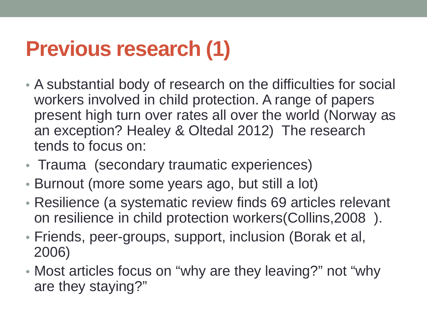## **Previous research (1)**

- A substantial body of research on the difficulties for social workers involved in child protection. A range of papers present high turn over rates all over the world (Norway as an exception? Healey & Oltedal 2012) The research tends to focus on:
- Trauma (secondary traumatic experiences)
- Burnout (more some years ago, but still a lot)
- Resilience (a systematic review finds 69 articles relevant on resilience in child protection workers(Collins,2008 ).
- Friends, peer-groups, support, inclusion (Borak et al, 2006)
- Most articles focus on "why are they leaving?" not "why are they staying?"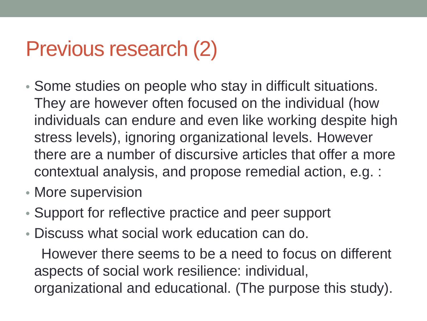### Previous research (2)

- Some studies on people who stay in difficult situations. They are however often focused on the individual (how individuals can endure and even like working despite high stress levels), ignoring organizational levels. However there are a number of discursive articles that offer a more contextual analysis, and propose remedial action, e.g. :
- More supervision
- Support for reflective practice and peer support
- Discuss what social work education can do.

 However there seems to be a need to focus on different aspects of social work resilience: individual, organizational and educational. (The purpose this study).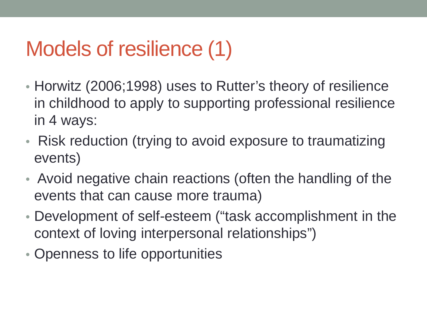## Models of resilience (1)

- Horwitz (2006;1998) uses to Rutter's theory of resilience in childhood to apply to supporting professional resilience in 4 ways:
- Risk reduction (trying to avoid exposure to traumatizing events)
- Avoid negative chain reactions (often the handling of the events that can cause more trauma)
- Development of self-esteem ("task accomplishment in the context of loving interpersonal relationships")
- Openness to life opportunities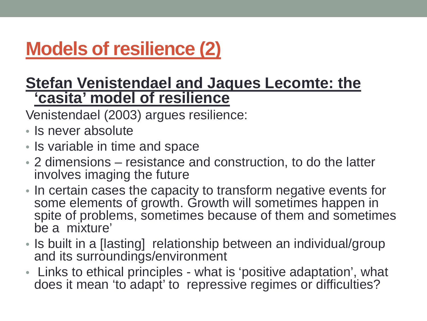#### **Models of resilience (2)**

#### **Stefan Venistendael and Jaques Lecomte: the 'casita' model of resilience**

Venistendael (2003) argues resilience:

- Is never absolute
- Is variable in time and space
- 2 dimensions resistance and construction, to do the latter involves imaging the future
- In certain cases the capacity to transform negative events for some elements of growth. Growth will sometimes happen in spite of problems, sometimes because of them and sometimes be a mixture'
- Is built in a [lasting] relationship between an individual/group and its surroundings/environment
- Links to ethical principles what is 'positive adaptation', what does it mean 'to adapt' to repressive regimes or difficulties?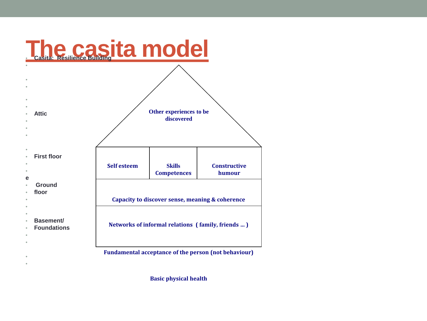

**Basic physical health**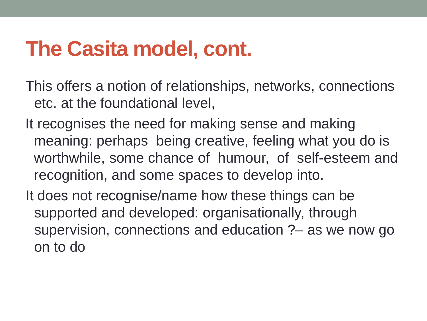### **The Casita model, cont.**

This offers a notion of relationships, networks, connections etc. at the foundational level,

It recognises the need for making sense and making meaning: perhaps being creative, feeling what you do is worthwhile, some chance of humour, of self-esteem and recognition, and some spaces to develop into.

It does not recognise/name how these things can be supported and developed: organisationally, through supervision, connections and education ?– as we now go on to do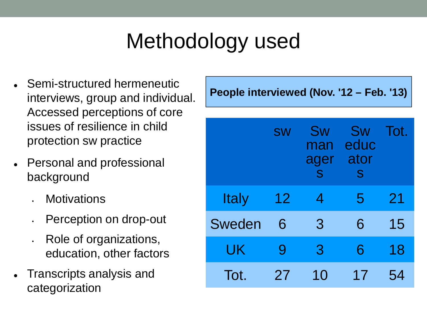# Methodology used

- Semi-structured hermeneutic interviews, group and individual. Accessed perceptions of core issues of resilience in child protection sw practice
- Personal and professional background
	- **Motivations**
	- Perception on drop-out
	- Role of organizations, education, other factors
- Transcripts analysis and categorization

**People interviewed (Nov. '12 – Feb. '13)**

|              | <b>SW</b> | Sw<br>man<br>ager<br>S | Sw<br>educ<br>ator<br>S | Tot. |
|--------------|-----------|------------------------|-------------------------|------|
| <b>Italy</b> | 12        | $\overline{4}$         | 5                       | 21   |
| Sweden       | 6         | 3                      | 6                       | 15   |
| UK           | 9         | 3                      | 6                       | 18   |
| Tot.         | 27        | 10                     | 17                      | 54   |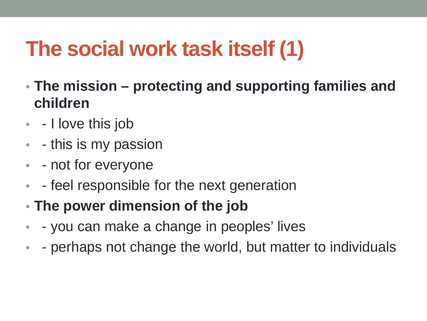# **The social work task itself (1)**

- **The mission – protecting and supporting families and children**
- - I love this job
- - this is my passion
- - not for everyone
- - feel responsible for the next generation
- **The power dimension of the job**
- - you can make a change in peoples' lives
- - perhaps not change the world, but matter to individuals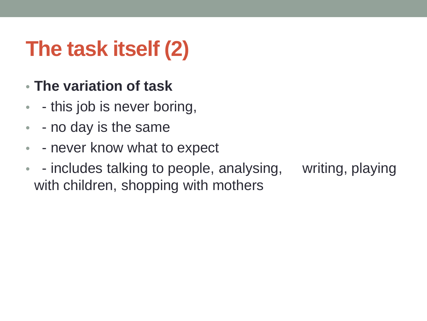# **The task itself (2)**

- **The variation of task**
- - this job is never boring,
- - no day is the same
- - never know what to expect
- - includes talking to people, analysing, writing, playing with children, shopping with mothers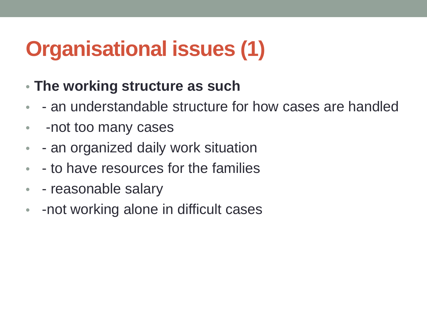# **Organisational issues (1)**

- **The working structure as such**
- - an understandable structure for how cases are handled
- -not too many cases
- - an organized daily work situation
- - to have resources for the families
- - reasonable salary
- -not working alone in difficult cases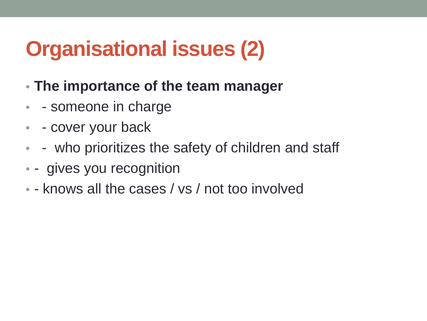# **Organisational issues (2)**

- **The importance of the team manager**
- - someone in charge
- - cover your back
- - who prioritizes the safety of children and staff
- - gives you recognition
- - knows all the cases / vs / not too involved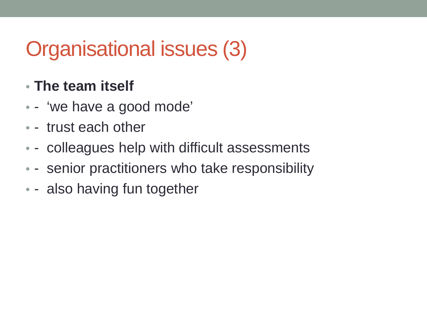# Organisational issues (3)

#### • **The team itself**

- - 'we have a good mode'
- - trust each other
- - colleagues help with difficult assessments
- - senior practitioners who take responsibility
- - also having fun together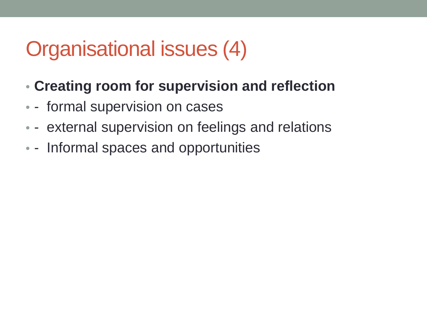## Organisational issues (4)

- **Creating room for supervision and reflection**
- - formal supervision on cases
- - external supervision on feelings and relations
- - Informal spaces and opportunities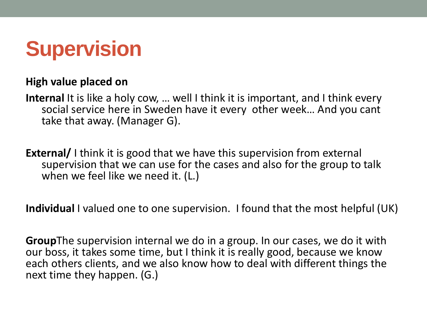

#### **High value placed on**

**Internal** It is like a holy cow, … well I think it is important, and I think every social service here in Sweden have it every other week… And you cant take that away. (Manager G).

**External/** I think it is good that we have this supervision from external supervision that we can use for the cases and also for the group to talk when we feel like we need it. (L.)

**Individual** I valued one to one supervision. I found that the most helpful (UK)

**Group**The supervision internal we do in a group. In our cases, we do it with our boss, it takes some time, but I think it is really good, because we know each others clients, and we also know how to deal with different things the next time they happen. (G.)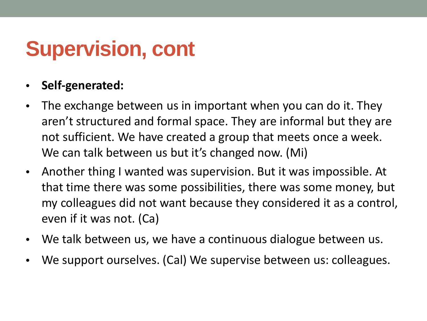### **Supervision, cont**

#### • **Self-generated:**

- The exchange between us in important when you can do it. They aren't structured and formal space. They are informal but they are not sufficient. We have created a group that meets once a week. We can talk between us but it's changed now. (Mi)
- Another thing I wanted was supervision. But it was impossible. At that time there was some possibilities, there was some money, but my colleagues did not want because they considered it as a control, even if it was not. (Ca)
- We talk between us, we have a continuous dialogue between us.
- We support ourselves. (Cal) We supervise between us: colleagues.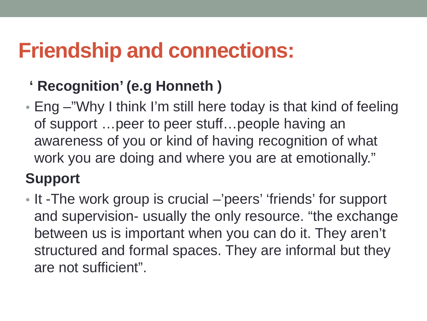### **Friendship and connections:**

- **' Recognition' (e.g Honneth )**
- Eng –"Why I think I'm still here today is that kind of feeling of support …peer to peer stuff…people having an awareness of you or kind of having recognition of what work you are doing and where you are at emotionally."

#### **Support**

• It -The work group is crucial –'peers' 'friends' for support and supervision- usually the only resource. "the exchange between us is important when you can do it. They aren't structured and formal spaces. They are informal but they are not sufficient".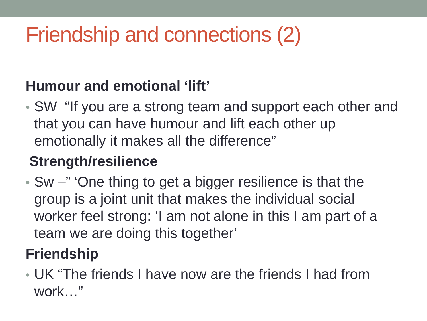# Friendship and connections (2)

#### **Humour and emotional 'lift'**

• SW "If you are a strong team and support each other and that you can have humour and lift each other up emotionally it makes all the difference"

#### **Strength/resilience**

• Sw –" 'One thing to get a bigger resilience is that the group is a joint unit that makes the individual social worker feel strong: 'I am not alone in this I am part of a team we are doing this together'

#### **Friendship**

• UK "The friends I have now are the friends I had from work…"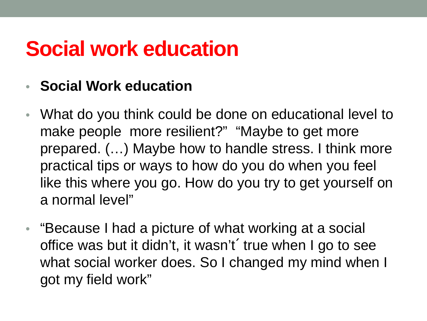### **Social work education**

- **Social Work education**
- What do you think could be done on educational level to make people more resilient?" "Maybe to get more prepared. (…) Maybe how to handle stress. I think more practical tips or ways to how do you do when you feel like this where you go. How do you try to get yourself on a normal level"
- "Because I had a picture of what working at a social office was but it didn't, it wasn't´ true when I go to see what social worker does. So I changed my mind when I got my field work"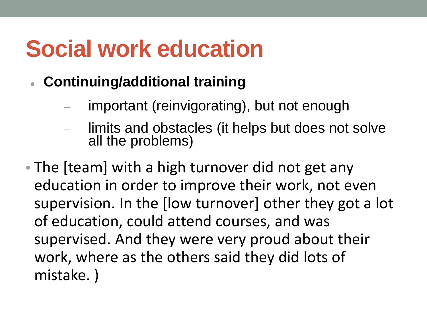# **Social work education**

- **Continuing/additional training**
	- important (reinvigorating), but not enough
	- limits and obstacles (it helps but does not solve all the problems)
- The [team] with a high turnover did not get any education in order to improve their work, not even supervision. In the [low turnover] other they got a lot of education, could attend courses, and was supervised. And they were very proud about their work, where as the others said they did lots of mistake. )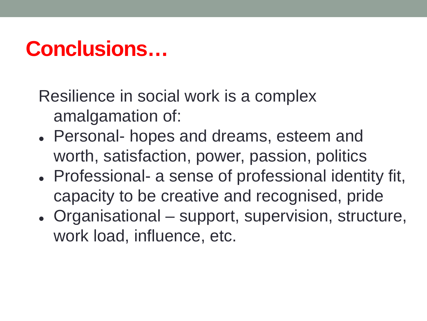### **Conclusions…**

Resilience in social work is a complex amalgamation of:

- Personal- hopes and dreams, esteem and worth, satisfaction, power, passion, politics
- Professional- a sense of professional identity fit, capacity to be creative and recognised, pride
- Organisational support, supervision, structure, work load, influence, etc.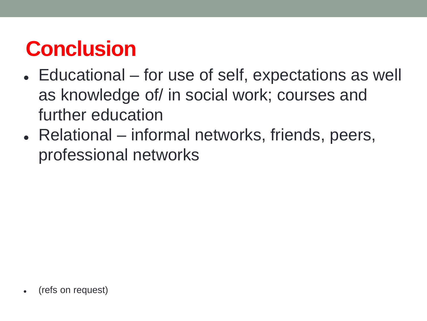## **Conclusion**

- Educational for use of self, expectations as well as knowledge of/ in social work; courses and further education
- Relational informal networks, friends, peers, professional networks

(refs on request)